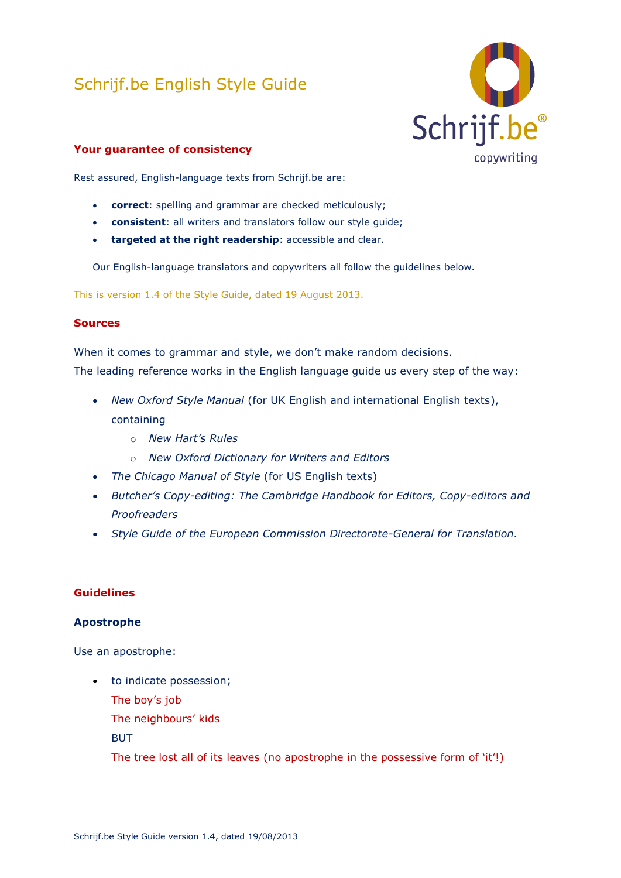# Schrijf.be English Style Guide



# **Your guarantee of consistency**

Rest assured, English-language texts from Schrijf.be are:

- **correct**: spelling and grammar are checked meticulously;
- **consistent**: all writers and translators follow our style guide;
- **targeted at the right readership**: accessible and clear.

Our English-language translators and copywriters all follow the guidelines below.

This is version 1.4 of the Style Guide, dated 19 August 2013.

#### **Sources**

When it comes to grammar and style, we don't make random decisions. The leading reference works in the English language guide us every step of the way:

- *New Oxford Style Manual* (for UK English and international English texts), containing
	- o *New Hart's Rules*
	- o *New Oxford Dictionary for Writers and Editors*
- *The Chicago Manual of Style* (for US English texts)
- *Butcher's Copy-editing: The Cambridge Handbook for Editors, Copy-editors and Proofreaders*
- *Style Guide of the European Commission Directorate-General for Translation.*

# **Guidelines**

#### **Apostrophe**

Use an apostrophe:

- to indicate possession; The boy's job The neighbours' kids **BUT** 
	- The tree lost all of its leaves (no apostrophe in the possessive form of 'it'!)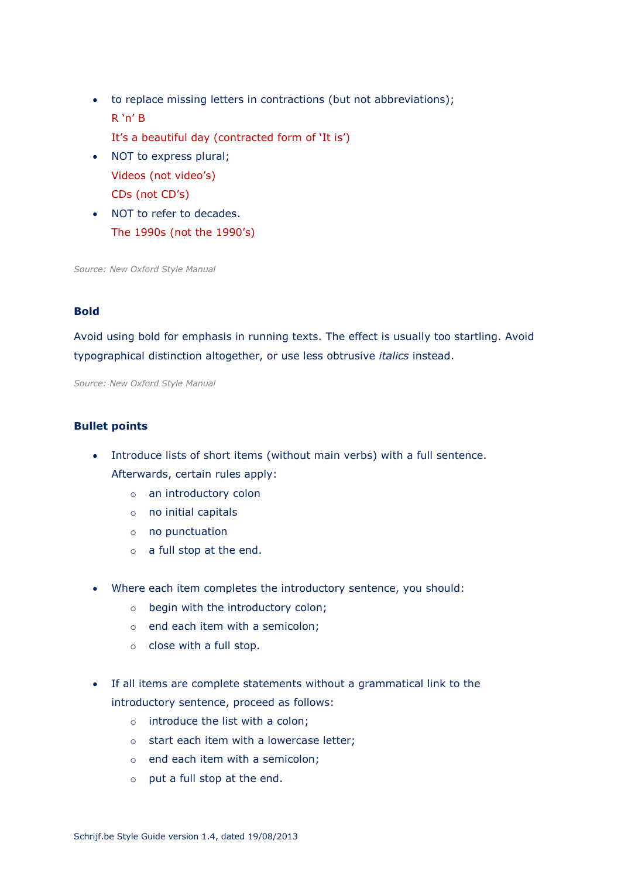- to replace missing letters in contractions (but not abbreviations); R 'n' B
	- It's a beautiful day (contracted form of 'It is')
- NOT to express plural; Videos (not video's) CDs (not CD's)
- NOT to refer to decades. The 1990s (not the 1990's)

*Source: New Oxford Style Manual* 

#### **Bold**

Avoid using bold for emphasis in running texts. The effect is usually too startling. Avoid typographical distinction altogether, or use less obtrusive *italics* instead.

*Source: New Oxford Style Manual* 

# **Bullet points**

- Introduce lists of short items (without main verbs) with a full sentence. Afterwards, certain rules apply:
	- o an introductory colon
	- o no initial capitals
	- o no punctuation
	- o a full stop at the end.
- Where each item completes the introductory sentence, you should:
	- o begin with the introductory colon;
	- o end each item with a semicolon;
	- o close with a full stop.
- If all items are complete statements without a grammatical link to the introductory sentence, proceed as follows:
	- o introduce the list with a colon;
	- o start each item with a lowercase letter;
	- o end each item with a semicolon;
	- o put a full stop at the end.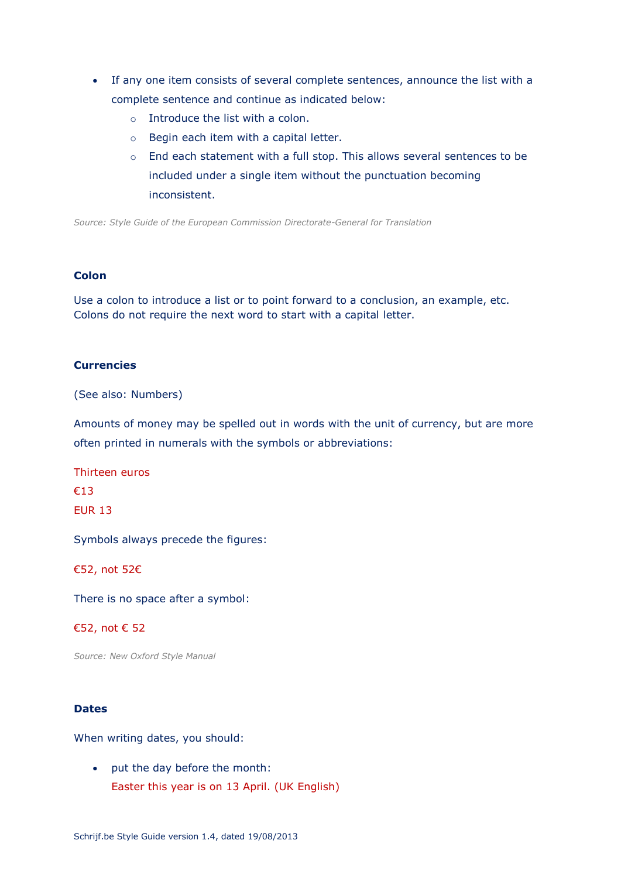- If any one item consists of several complete sentences, announce the list with a complete sentence and continue as indicated below:
	- o Introduce the list with a colon.
	- o Begin each item with a capital letter.
	- o End each statement with a full stop. This allows several sentences to be included under a single item without the punctuation becoming inconsistent.

*Source: Style Guide of the European Commission Directorate-General for Translation*

#### **Colon**

Use a colon to introduce a list or to point forward to a conclusion, an example, etc. Colons do not require the next word to start with a capital letter.

#### **Currencies**

(See also: Numbers)

Amounts of money may be spelled out in words with the unit of currency, but are more often printed in numerals with the symbols or abbreviations:

Thirteen euros €13 EUR 13

Symbols always precede the figures:

€52, not 52€

There is no space after a symbol:

#### €52, not € 52

*Source: New Oxford Style Manual* 

### **Dates**

When writing dates, you should:

 put the day before the month: Easter this year is on 13 April. (UK English)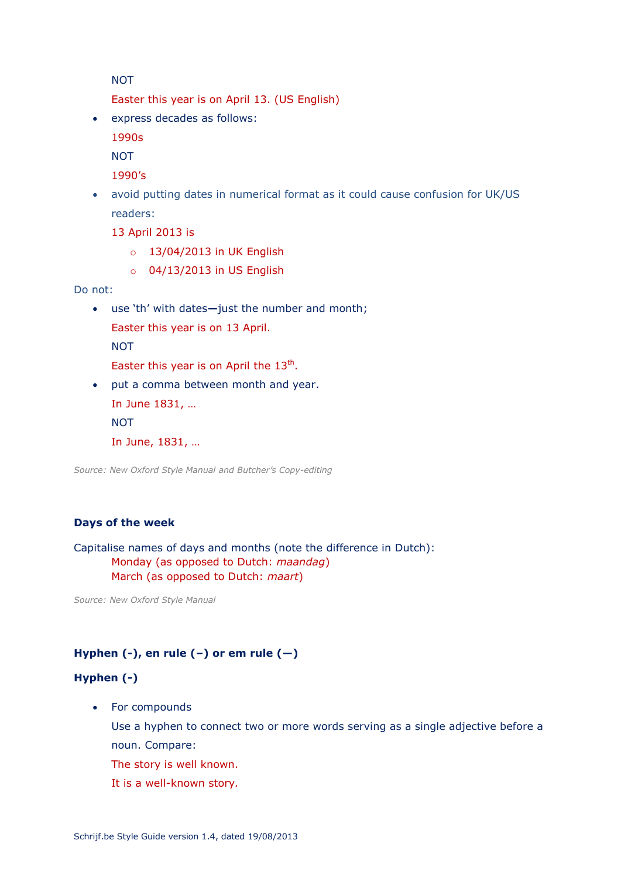NOT

Easter this year is on April 13. (US English)

express decades as follows:

1990s

**NOT** 

1990's

 avoid putting dates in numerical format as it could cause confusion for UK/US readers:

13 April 2013 is

- o 13/04/2013 in UK English
- o 04/13/2013 in US English

Do not:

- use 'th' with dates**—**just the number and month; Easter this year is on 13 April. **NOT** 
	- Easter this year is on April the  $13<sup>th</sup>$ .
- put a comma between month and year. In June 1831, … **NOT** In June, 1831, …

*Source: New Oxford Style Manual and Butcher's Copy-editing*

# **Days of the week**

Capitalise names of days and months (note the difference in Dutch): Monday (as opposed to Dutch: *maandag*) March (as opposed to Dutch: *maart*)

*Source: New Oxford Style Manual*

# **Hyphen (-), en rule (–) or em rule (—)**

# **Hyphen (-)**

• For compounds

Use a hyphen to connect two or more words serving as a single adjective before a noun. Compare:

The story is well known.

It is a well-known story*.*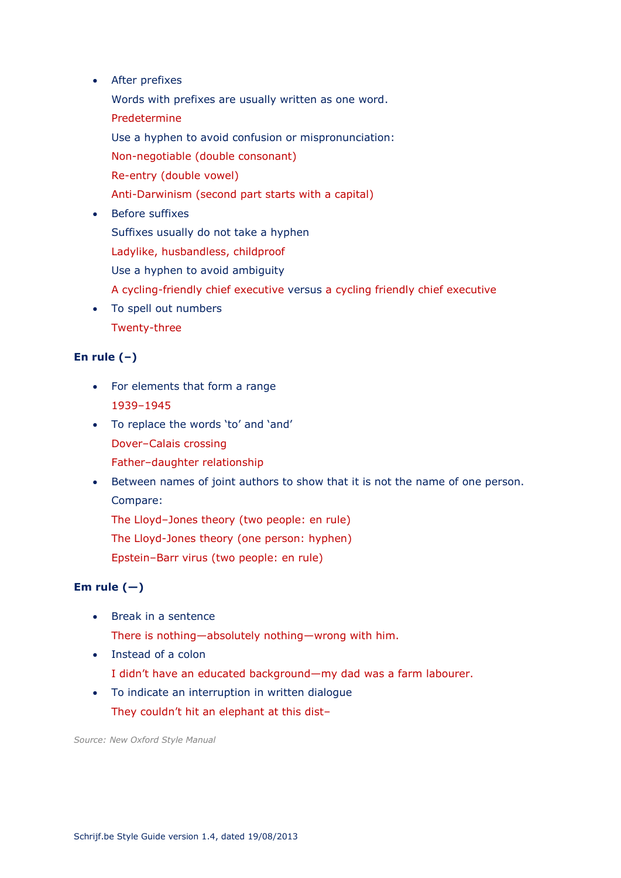After prefixes

Words with prefixes are usually written as one word.

- Predetermine
- Use a hyphen to avoid confusion or mispronunciation:

Non-negotiable (double consonant)

- Re-entry (double vowel)
- Anti-Darwinism (second part starts with a capital)
- Before suffixes Suffixes usually do not take a hyphen Ladylike, husbandless, childproof Use a hyphen to avoid ambiguity A cycling-friendly chief executive versus a cycling friendly chief executive
- To spell out numbers Twenty-three

# **En rule (–)**

- For elements that form a range 1939–1945
- To replace the words 'to' and 'and' Dover–Calais crossing Father–daughter relationship
- Between names of joint authors to show that it is not the name of one person. Compare:

The Lloyd–Jones theory (two people: en rule)

The Lloyd-Jones theory (one person: hyphen)

Epstein–Barr virus (two people: en rule)

# Em rule  $(-)$

- Break in a sentence There is nothing—absolutely nothing—wrong with him.
- Instead of a colon I didn't have an educated background—my dad was a farm labourer.
- To indicate an interruption in written dialogue They couldn't hit an elephant at this dist–

*Source: New Oxford Style Manual*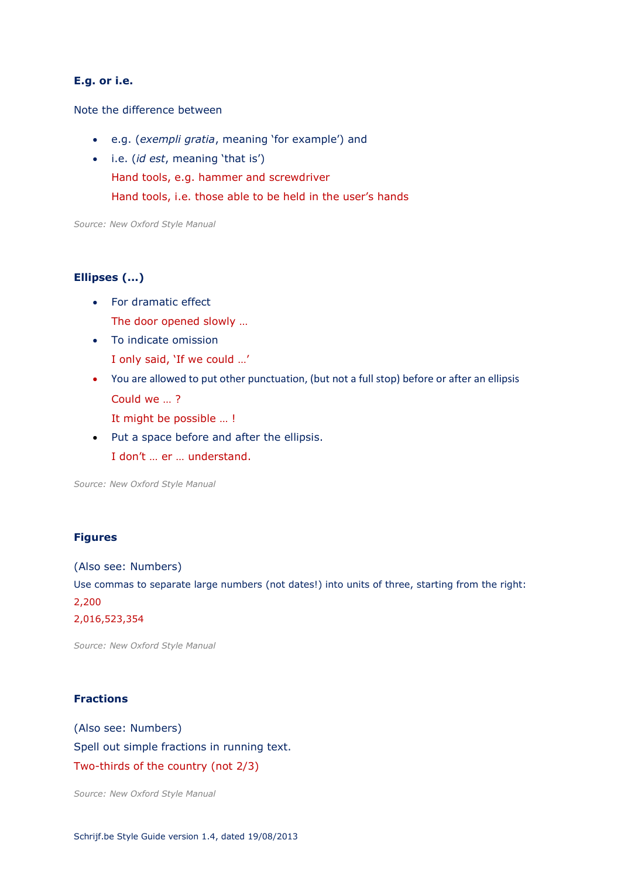#### **E.g. or i.e.**

#### Note the difference between

- e.g. (*exempli gratia*, meaning 'for example') and
- i.e. (*id est*, meaning 'that is') Hand tools, e.g. hammer and screwdriver Hand tools, i.e. those able to be held in the user's hands

*Source: New Oxford Style Manual* 

#### **Ellipses (...)**

- For dramatic effect The door opened slowly …
- To indicate omission I only said, 'If we could …'
- You are allowed to put other punctuation, (but not a full stop) before or after an ellipsis Could we … ?

It might be possible … !

• Put a space before and after the ellipsis. I don't … er … understand.

*Source: New Oxford Style Manual* 

#### **Figures**

(Also see: Numbers) Use commas to separate large numbers (not dates!) into units of three, starting from the right: 2,200 2,016,523,354

*Source: New Oxford Style Manual* 

#### **Fractions**

(Also see: Numbers) Spell out simple fractions in running text. Two-thirds of the country (not 2/3)

*Source: New Oxford Style Manual*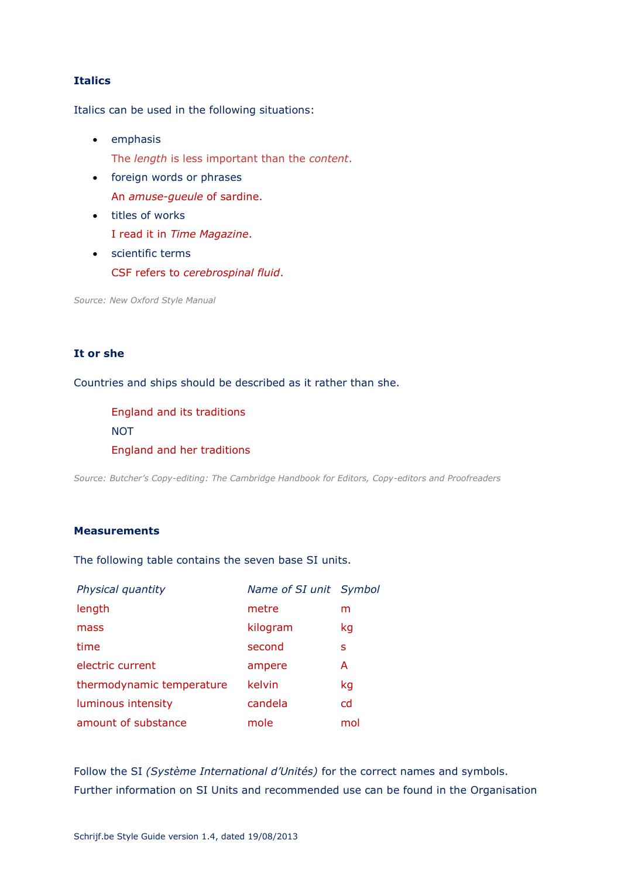# **Italics**

Italics can be used in the following situations:

- emphasis The *length* is less important than the *content*.
- foreign words or phrases An *amuse-gueule* of sardine.
- titles of works I read it in *Time Magazine*.
- scientific terms CSF refers to *cerebrospinal fluid*.

*Source: New Oxford Style Manual* 

# **It or she**

Countries and ships should be described as it rather than she.

England and its traditions **NOT** England and her traditions

*Source: Butcher's Copy-editing: The Cambridge Handbook for Editors, Copy-editors and Proofreaders*

# **Measurements**

The following table contains the seven base SI units.

| Physical quantity         | Name of SI unit Symbol |     |
|---------------------------|------------------------|-----|
| length                    | metre                  | m   |
| mass                      | kilogram               | kg  |
| time                      | second                 | S   |
| electric current          | ampere                 | A   |
| thermodynamic temperature | kelvin                 | kg  |
| luminous intensity        | candela                | cd  |
| amount of substance       | mole                   | mol |

Follow the SI *(Système International d'Unités)* for the correct names and symbols. Further information on SI Units and recommended use can be found in the Organisation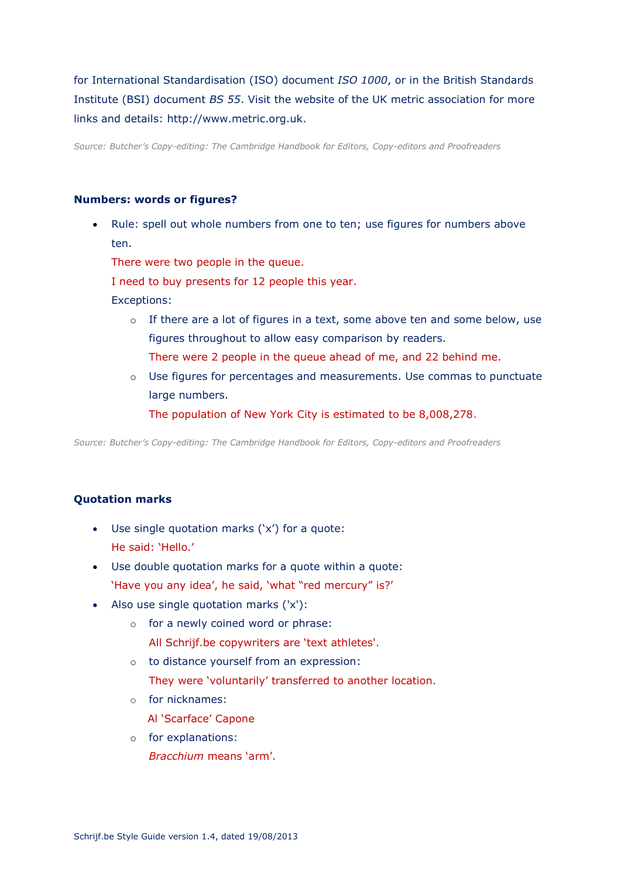for International Standardisation (ISO) document *ISO 1000*, or in the British Standards Institute (BSI) document *BS 55*. Visit the website of the UK metric association for more links and details: http://www.metric.org.uk.

*Source: Butcher's Copy-editing: The Cambridge Handbook for Editors, Copy-editors and Proofreaders*

#### **Numbers: words or figures?**

 Rule: spell out whole numbers from one to ten; use figures for numbers above ten.

There were two people in the queue.

I need to buy presents for 12 people this year.

Exceptions:

- o If there are a lot of figures in a text, some above ten and some below, use figures throughout to allow easy comparison by readers. There were 2 people in the queue ahead of me, and 22 behind me.
- o Use figures for percentages and measurements. Use commas to punctuate large numbers.

The population of New York City is estimated to be 8,008,278.

*Source: Butcher's Copy-editing: The Cambridge Handbook for Editors, Copy-editors and Proofreaders*

# **Quotation marks**

- Use single quotation marks ('x') for a quote: He said: 'Hello.'
- Use double quotation marks for a quote within a quote: 'Have you any idea', he said, 'what "red mercury" is?'
- Also use single quotation marks ('x'):
	- o for a newly coined word or phrase:
		- All Schrijf.be copywriters are 'text athletes'.
	- o to distance yourself from an expression: They were 'voluntarily' transferred to another location.
	- o for nicknames:
		- Al 'Scarface' Capone
	- o for explanations: *Bracchium* means 'arm'.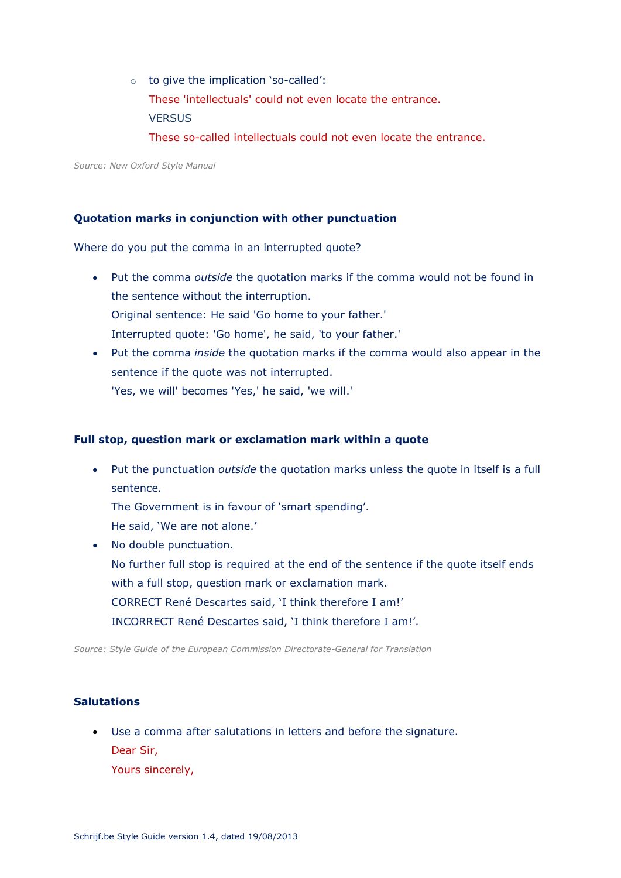- o to give the implication 'so-called': These 'intellectuals' could not even locate the entrance. **VERSUS** 
	- These so-called intellectuals could not even locate the entrance.

*Source: New Oxford Style Manual* 

# **Quotation marks in conjunction with other punctuation**

Where do you put the comma in an interrupted quote?

- Put the comma *outside* the quotation marks if the comma would not be found in the sentence without the interruption. Original sentence: He said 'Go home to your father.' Interrupted quote: 'Go home', he said, 'to your father.'
- Put the comma *inside* the quotation marks if the comma would also appear in the sentence if the quote was not interrupted. 'Yes, we will' becomes 'Yes,' he said, 'we will.'

#### **Full stop, question mark or exclamation mark within a quote**

 Put the punctuation *outside* the quotation marks unless the quote in itself is a full sentence.

The Government is in favour of 'smart spending'. He said, 'We are not alone.'

• No double punctuation. No further full stop is required at the end of the sentence if the quote itself ends with a full stop, question mark or exclamation mark. CORRECT René Descartes said, 'I think therefore I am!' INCORRECT René Descartes said, 'I think therefore I am!'.

*Source: Style Guide of the European Commission Directorate-General for Translation* 

# **Salutations**

 Use a comma after salutations in letters and before the signature. Dear Sir, Yours sincerely,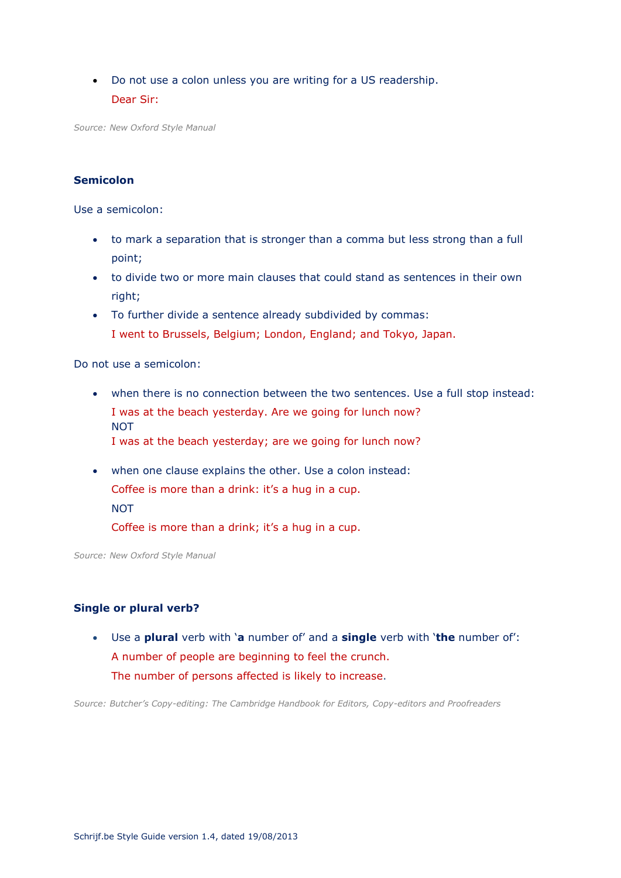Do not use a colon unless you are writing for a US readership. Dear Sir:

*Source: New Oxford Style Manual* 

# **Semicolon**

Use a semicolon:

- to mark a separation that is stronger than a comma but less strong than a full point;
- to divide two or more main clauses that could stand as sentences in their own right;
- To further divide a sentence already subdivided by commas: I went to Brussels, Belgium; London, England; and Tokyo, Japan.

Do not use a semicolon:

- when there is no connection between the two sentences. Use a full stop instead: I was at the beach yesterday. Are we going for lunch now? NOT I was at the beach yesterday; are we going for lunch now?
- when one clause explains the other. Use a colon instead: Coffee is more than a drink: it's a hug in a cup. NOT

Coffee is more than a drink; it's a hug in a cup.

*Source: New Oxford Style Manual* 

#### **Single or plural verb?**

 Use a **plural** verb with '**a** number of' and a **single** verb with '**the** number of': A number of people are beginning to feel the crunch. The number of persons affected is likely to increase.

*Source: Butcher's Copy-editing: The Cambridge Handbook for Editors, Copy-editors and Proofreaders*